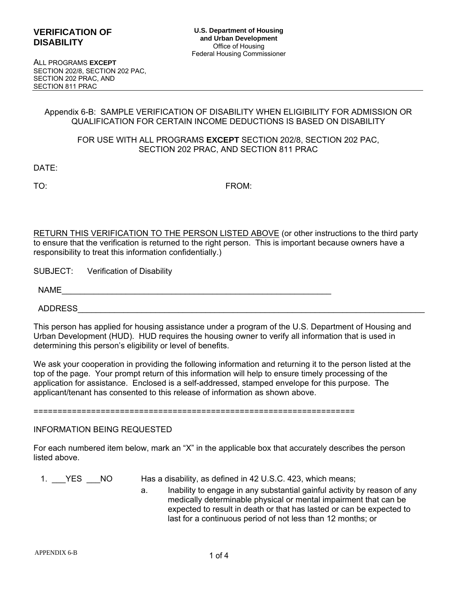ALL PROGRAMS **EXCEPT**  ALL PROGRAMS **EXCEPT** SECTION 202/8, SECTION 202 PAC, SECTION 202/8, SECTION 202 PAC, SECTION 202 PRAC, AND SECTION 202 PRAC, AND SECTION 811 PRAC SECTION 811 PRAC

#### **Appendix 6-B: SAMPLE VERIFICATION OF DISABILITY WHEN ELIGIBILITY FOR ADMISSION OR**  Appendix 6-B: SAMPLE VERIFICATION OF DISABILITY WHEN ELIGIBILITY FOR ADMISSION OR **QUALIFICATION FOR CERTAIN INCOME DEDUCTIONS IS BASED ON DISABILITY**  QUALIFICATION FOR CERTAIN INCOME DEDUCTIONS IS BASED ON DISABILITY

### **FOR USE WITH ALL PROGRAMS EXCEPT SECTION 202/8, SECTION 202 PAC,**  FOR USE WITH ALL PROGRAMS **EXCEPT** SECTION 202/8, SECTION 202 PAC, **SECTION 202 PRAC, AND SECTION 811 PRAC**  SECTION 202 PRAC, AND SECTION 811 PRAC

**DATE:**  DATE:

**TO: FROM:**  TO: FROM:

**RETURN THIS VERIFICATION TO THE PERSON LISTED ABOVE (or other instructions to the third party**  RETURN THIS VERIFICATION TO THE PERSON LISTED ABOVE (or other instructions to the third party **to ensure that the verification is returned to the right person. This is important because owners have a**  to ensure that the verification is returned to the right person. This is important because owners have a **responsibility to treat this information confidentially.)**  responsibility to treat this information confidentially.)

**SUBJECT: Verification of Disability**  SUBJECT: Verification of Disability

**ADDRESS**  ADDRESS\_\_\_\_\_\_\_\_\_\_\_\_\_\_\_\_\_\_\_\_\_\_\_\_\_\_\_\_\_\_\_\_\_\_\_\_\_\_\_\_\_\_\_\_\_\_\_\_\_\_\_\_\_\_\_\_\_\_\_\_\_\_\_\_\_\_\_\_\_\_\_\_\_\_\_\_

**This person has applied for housing assistance under a program of the U.S. Department of Housing and**  This person has applied for housing assistance under a program of the U.S. Department of Housing and **Urban Development (HUD). HUD requires the housing owner to verify all information that is used in**  Urban Development (HUD). HUD requires the housing owner to verify all information that is used in **determining this person's eligibility or level of benefits.**  determining this person's eligibility or level of benefits.

**We ask your cooperation in providing the following information and returning it to the person listed at the**  We ask your cooperation in providing the following information and returning it to the person listed at the **top of the page. Your prompt return of this information will help to ensure timely processing of the**  top of the page. Your prompt return of this information will help to ensure timely processing of the **application for assistance. Enclosed is a self-addressed, stamped envelope for this purpose. The**  application for assistance. Enclosed is a self-addressed, stamped envelope for this purpose. The **applicant/tenant has consented to this release of information as shown above.**  applicant/tenant has consented to this release of information as shown above.

===================================================================

**INFORMATION BEING REQUESTED**  INFORMATION BEING REQUESTED

**For each numbered item below, mark an "X" in the applicable box that accurately describes the person**  For each numbered item below, mark an "X" in the applicable box that accurately describes the person **listed above.**  listed above.

- 
- **1. YES NO Has a disability, as defined in 42 U.S.C. 423, which means;**  1. \_\_\_YES \_\_\_NO Has a disability, as defined in 42 U.S.C. 423, which means;
	- **a. Inability to engage in any substantial gainful activity by reason of any**  a. Inability to engage in any substantial gainful activity by reason of any **medically determinable physical or mental impairment that can be**  medically determinable physical or mental impairment that can be **expected to result in death or that has lasted or can be expected to**  expected to result in death or that has lasted or can be expected to **last for a continuous period of not less than 12 months; or**  last for a continuous period of not less than 12 months; or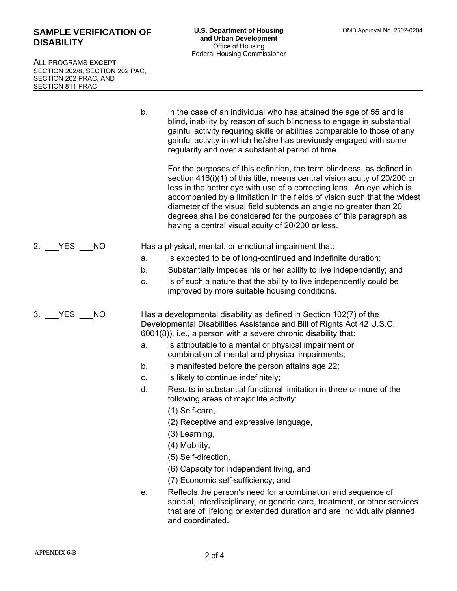# **SAMPLE VERIFICATION OF SAMPLE VERIFICATION OF DISABILITY DISABILITY**

ALL PROGRAMS **EXCEPT**  ALL PROGRAMS **EXCEPT** SECTION 202/8, SECTION 202 PAC, SECTION 202/8, SECTION 202 PAC, SECTION 202 PRAC, AND SECTION 202 PRAC, AND SECTION 811 PRAC SECTION 811 PRAC

> **b. In the case of an individual who has attained the age of 55 and is**  b. In the case of an individual who has attained the age of 55 and is **blind, inability by reason of such blindness to engage in substantial**  blind, inability by reason of such blindness to engage in substantial **gainful activity requiring skills or abilities comparable to those of any**  gainful activity requiring skills or abilities comparable to those of any **gainful activity in which he/she has previously engaged with some**  gainful activity in which he/she has previously engaged with some **regularity and over a substantial period of time.**  regularity and over a substantial period of time.

**For the purposes of this definition, the term blindness, as defined in**  For the purposes of this definition, the term blindness, as defined in **section 416(i)(1) of this title, means central vision acuity of 20/200 or**  section 416(i)(1) of this title, means central vision acuity of 20/200 or **less in the better eye with use of a correcting lens. An eye which is**  less in the better eye with use of a correcting lens. An eye which is **accompanied by a limitation in the fields of vision such that the widest**  accompanied by a limitation in the fields of vision such that the widest **diameter of the visual field subtends an angle no greater than 20**  diameter of the visual field subtends an angle no greater than 20 **degrees shall be considered for the purposes of this paragraph as**  degrees shall be considered for the purposes of this paragraph as **having a central visual acuity of 20/200 or less.**  having a central visual acuity of 20/200 or less.

- **2. YES NO Has a physical, mental, or emotional impairment that:**  2. \_\_\_YES \_\_\_NO Has a physical, mental, or emotional impairment that:
	- **a. Is expected to be of long-continued and indefinite duration;**  a. Is expected to be of long-continued and indefinite duration;
	- **b. Substantially impedes his or her ability to live independently; and**  b. Substantially impedes his or her ability to live independently; and
	- **c. Is of such a nature that the ability to live independently could be**  c. Is of such a nature that the ability to live independently could be **improved by more suitable housing conditions.**  improved by more suitable housing conditions.

**3. YES NO Has a developmental disability as defined in Section 102(7) of the**  3. \_\_\_YES \_\_\_NO Has a developmental disability as defined in Section 102(7) of the **Developmental Disabilities Assistance and Bill of Rights Act 42 U.S.C.**  Developmental Disabilities Assistance and Bill of Rights Act 42 U.S.C. **6001(8)), i.e., a person with a severe chronic disability that:**  6001(8)), i.e., a person with a severe chronic disability that:

- a. Is attributable to a mental or physical impairment or **combination of mental and physical impairments;**  combination of mental and physical impairments;
	- **b. Is manifested before the person attains age 22;**  b. Is manifested before the person attains age 22;
- **c. Is likely to continue indefinitely;**  c. Is likely to continue indefinitely;
	- **d. Results in substantial functional limitation in three or more of the**  d. Results in substantial functional limitation in three or more of the **following areas of major life activity:**  following areas of major life activity:
		- **(1) Self-care,**  (1) Self-care,
		- **(2) Receptive and expressive language,**  (2) Receptive and expressive language,
		- **(3) Learning,**  (3) Learning,
		- **(4) Mobility,**  (4) Mobility,
		- **(5) Self-direction,**  (5) Self-direction,
		- **(6) Capacity for independent living, and**  (6) Capacity for independent living, and
		- **(7) Economic self-sufficiency; and**  (7) Economic self-sufficiency; and
	- **e. Reflects the person's need for a combination and sequence of**  e. Reflects the person's need for a combination and sequence of **special, interdisciplinary, or generic care, treatment, or other services**  special, interdisciplinary, or generic care, treatment, or other services **that are of lifelong or extended duration and are individually planned**  that are of lifelong or extended duration and are individually planned **and coordinated.**  and coordinated.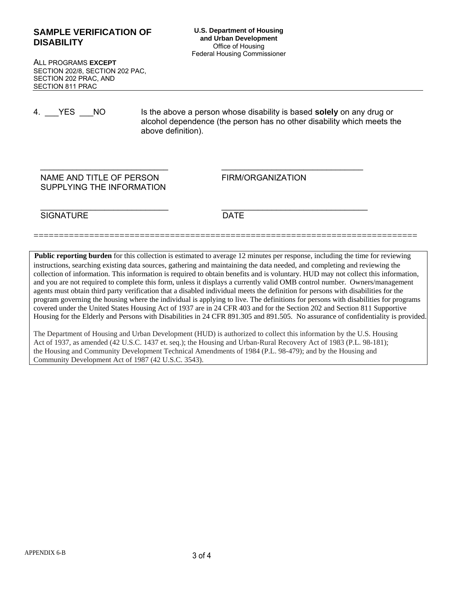# **SAMPLE VERIFICATION OF U.S. Department of Housing SAMPLE VERIFICATION OF**<br>
and Urban Development

and Urban Development **SAMPLE** VERP. 06/30/2017) **DISABILITY DISABILITY**

ALL PROGRAMS **EXCEPT**  ALL PROGRAMS **EXCEPT** SECTION 202/8, SECTION 202 PAC, SECTION 202/8, SECTION 202 PAC, SECTION 202 PRAC, AND SECTION 202 PRAC, AND SECTION 811 PRAC SECTION 811 PRAC

**4. YES NO Is the above a person whose disability is based solely on any drug or**  4. \_\_\_YES \_\_\_NO Is the above a person whose disability is based **solely** on any drug or **alcohol dependence (the person has no other disability which meets the**  alcohol dependence (the person has no other disability which meets the **above definition).**  above definition).

### NAME AND TITLE OF PERSON FIRM/ORGANIZATION **SUPPLYING THE INFORMATION**  SUPPLYING THE INFORMATION

**SIGNATURE DATE**  SIGNATURE DATE

 $\_$  , and the set of the set of the set of the set of the set of the set of the set of the set of the set of the set of the set of the set of the set of the set of the set of the set of the set of the set of the set of th

============================================================================

\_\_\_\_\_\_\_\_\_\_\_\_\_\_\_\_\_\_\_\_\_\_\_\_\_\_\_\_ \_\_\_\_\_\_\_\_\_\_\_\_\_\_\_\_\_\_\_\_\_\_\_\_\_\_\_\_\_\_\_

Public reporting burden for this collection is estimated to average 12 minutes per response, including the time for reviewing instructions, searching existing data sources, gathering and maintaining the data needed, and completing and reviewing the collection of information. This information is required to obtain benefits and is voluntary. HUD may not collect this information, and you are not required to complete this form, unless it displays a currently valid OMB control number. Owners/management agents must obtain third party verification that a disabled individual meets the definition for persons with disabilities for the program governing the housing where the individual is applying to live. The definitions for persons with disabilities for programs covered under the United States Housing Act of 1937 are in 24 CFR 403 and for the Section 202 and Section 811 Supportive Housing for the Elderly and Persons with Disabilities in 24 CFR 891.305 and 891.505. No assurance of confidentiality is provided.

The Department of Housing and Urban Development (HUD) is authorized to collect this information by the U.S. Housing Act of 1937, as amended (42 U.S.C. 1437 et. seq.); the Housing and Urban-Rural Recovery Act of 1983 (P.L. 98-181); the Housing and Community Development Technical Amendments of 1984 (P.L. 98-479); and by the Housing and Community Development Act of 1987 (42 U.S.C. 3543). Community Development Act of 1987 (42 U.S.C. 3543).